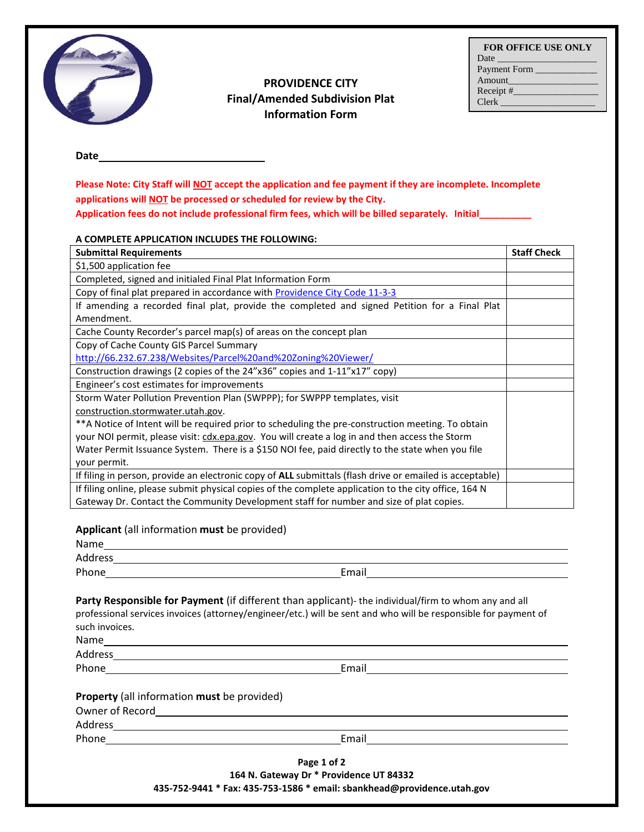|      | <b>FOR OFFICE USE ONLY</b> |  |  |
|------|----------------------------|--|--|
| )ate |                            |  |  |



## **PROVIDENCE CITY Final/Amended Subdivision Plat Information Form**

| FOR OFFICE OSE ONL I |  |  |
|----------------------|--|--|
| Date                 |  |  |
| Payment Form         |  |  |
| Amount               |  |  |
| Receipt #            |  |  |
| Clerk                |  |  |

**Date**

**Please Note: City Staff will NOT accept the application and fee payment if they are incomplete. Incomplete applications will NOT be processed or scheduled for review by the City. Application fees do not include professional firm fees, which will be billed separately. Initial\_\_\_\_\_\_\_\_\_\_**

## **A COMPLETE APPLICATION INCLUDES THE FOLLOWING:**

| <b>Submittal Requirements</b>                                                                            |  |  |
|----------------------------------------------------------------------------------------------------------|--|--|
| \$1,500 application fee                                                                                  |  |  |
| Completed, signed and initialed Final Plat Information Form                                              |  |  |
| Copy of final plat prepared in accordance with Providence City Code 11-3-3                               |  |  |
| If amending a recorded final plat, provide the completed and signed Petition for a Final Plat            |  |  |
| Amendment.                                                                                               |  |  |
| Cache County Recorder's parcel map(s) of areas on the concept plan                                       |  |  |
| Copy of Cache County GIS Parcel Summary                                                                  |  |  |
| http://66.232.67.238/Websites/Parcel%20and%20Zoning%20Viewer/                                            |  |  |
| Construction drawings (2 copies of the 24"x36" copies and 1-11"x17" copy)                                |  |  |
| Engineer's cost estimates for improvements                                                               |  |  |
| Storm Water Pollution Prevention Plan (SWPPP); for SWPPP templates, visit                                |  |  |
| construction.stormwater.utah.gov.                                                                        |  |  |
| ** A Notice of Intent will be required prior to scheduling the pre-construction meeting. To obtain       |  |  |
| your NOI permit, please visit: cdx.epa.gov. You will create a log in and then access the Storm           |  |  |
| Water Permit Issuance System. There is a \$150 NOI fee, paid directly to the state when you file         |  |  |
| your permit.                                                                                             |  |  |
| If filing in person, provide an electronic copy of ALL submittals (flash drive or emailed is acceptable) |  |  |
| If filing online, please submit physical copies of the complete application to the city office, 164 N    |  |  |
| Gateway Dr. Contact the Community Development staff for number and size of plat copies.                  |  |  |

**Applicant** (all information **must** be provided)

| such invoices.                                     | Party Responsible for Payment (if different than applicant)- the individual/firm to whom any and all<br>professional services invoices (attorney/engineer/etc.) will be sent and who will be responsible for payment of |
|----------------------------------------------------|-------------------------------------------------------------------------------------------------------------------------------------------------------------------------------------------------------------------------|
|                                                    |                                                                                                                                                                                                                         |
|                                                    |                                                                                                                                                                                                                         |
|                                                    |                                                                                                                                                                                                                         |
|                                                    |                                                                                                                                                                                                                         |
|                                                    |                                                                                                                                                                                                                         |
| <b>Property</b> (all information must be provided) |                                                                                                                                                                                                                         |

**435-752-9441 \* Fax: 435-753-1586 \* email: sbankhead@providence.utah.gov**